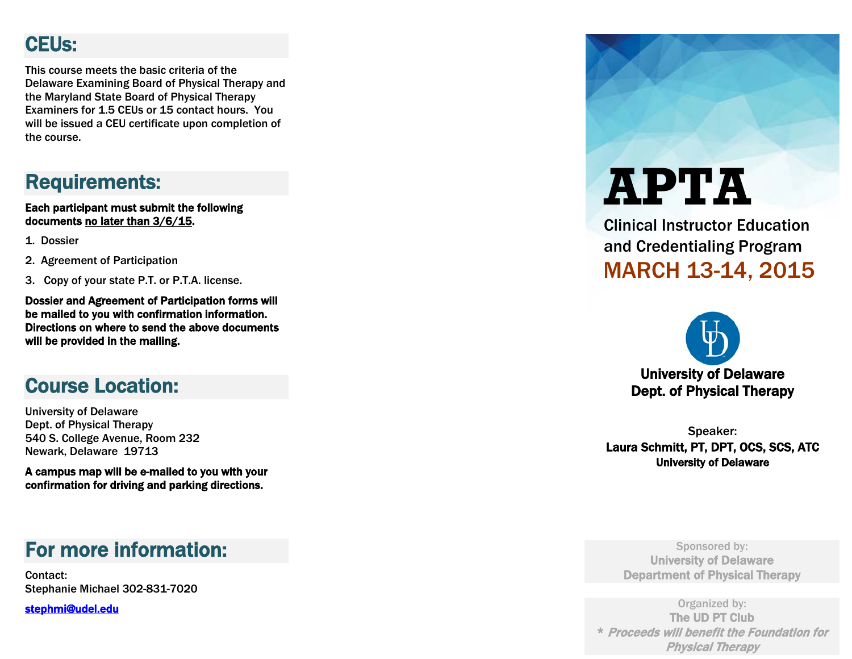## CEUs:

This course meets the basic criteria of the Delaware Examining Board of Physical Therapy and the Maryland State Board of Physical Therapy Examiners for 1.5 CEUs or 15 contact hours. You will be issued a CEU certificate upon completion of the course.

## Requirements:

Each participant must submit the following documents <u>no later than 3/6/15</u>.

- 1. Dossier
- 2. Agreement of Participation
- 3. Copy of your state P.T. or P.T.A. license.

Dossier and Agreement of Participation forms will be mailed to you with confirmation information. Directions on where to send the above documents will be provided in the mailing.

### Course Location:

University of Delaware Dept. of Physical Therapy 540 S. College Avenue, Room 232 Newark, Delaware 19713

A campus map will be e -mailed to you with your confirmation for driving and parking directions.

### For more information:

Contact: Stephanie Michael 302 -831 -7020

[stephmi@udel.edu](https://ms10.nss.udel.edu/cgi-bin/addrbook.cgi/addrbook/contacts.html?sessionid=-661cc1c05&from=ct&to_0=363&hidden_0=363&compose=true&view=M&cate=all&start=31&end=45&total=63&simple=no&dispcount=1)

**APTA**

Clinical Instructor Education and Credentialing Program MARCH 13-14, 201 5



Speaker: Laura Schmitt, PT, DPT, OCS, SCS, ATC University of Delaware

Sponsored by: University of Delaware Department of Physical Therapy

Organized by: The UD PT Club \* Proceeds will benefit the Foundation for Physical Therapy